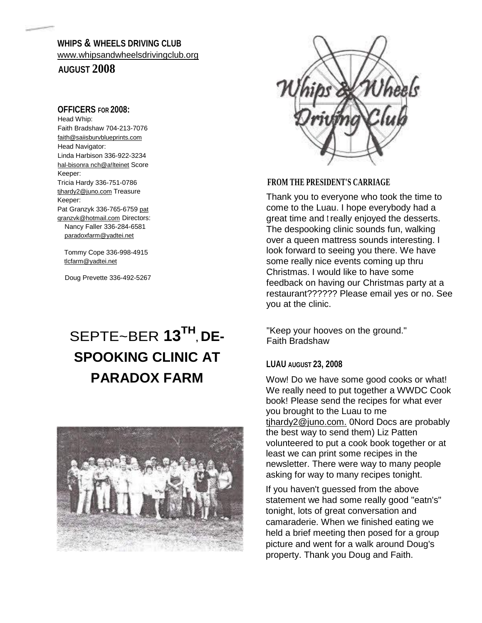# **WHIPS & WHEELS DRIVING CLUB**  [www.whipsandwheelsdrivingclub.org](http://www.whipsandwheelsdrivingclub.org/)

# **AUGUST 2008**

# **OFFICERS FOR 2008:**

Head Whip: Faith Bradshaw 704-213-7076 [faith@saiisburvblueprints.com](mailto:faith@saiisburvblueprints.com) Head Navigator: Linda Harbison 336-922-3234 hal-bisonra nch@a!lteinet Score Keeper: Tricia Hardy 336-751-0786 [tjhardy2@juno.com](mailto:tjhardy2@juno.com) Treasure Keeper: Pat Granzyk 336-765-6759 pat [qranzvk@hotmail.com](mailto:qranzvk@hotmail.com) Directors: Nancy Faller 336-284-6581 [paradoxfarm@yadtei.net](mailto:paradoxfarm@yadtei.net)

Tommy Cope 336-998-4915 [tlcfarm@yadtei.net](mailto:tlcfarm@yadtei.net)

Doug Prevette 336-492-5267

# SEPTE~BER **13TH , DE-SPOOKING CLINIC AT PARADOX FARM**





## **FROM THE PRESIDENT'S CARRIAGE**

Thank you to everyone who took the time to come to the Luau. I hope everybody had a great time and t really enjoyed the desserts. The despooking clinic sounds fun, walking over a queen mattress sounds interesting. I look forward to seeing you there. We have some really nice events coming up thru Christmas. I would like to have some feedback on having our Christmas party at a restaurant?????? Please email yes or no. See you at the clinic.

"Keep your hooves on the ground." Faith Bradshaw

# **LUAU AUGUST 23, 2008**

Wow! Do we have some good cooks or what! We really need to put together a WWDC Cook book! Please send the recipes for what ever you brought to the Luau to me [tjhardy2@juno.com.](mailto:tjhardy2@juno.com.) 0Nord Docs are probably the best way to send them) Liz Patten volunteered to put a cook book together or at least we can print some recipes in the newsletter. There were way to many people asking for way to many recipes tonight.

If you haven't guessed from the above statement we had some really good "eatn's" tonight, lots of great conversation and camaraderie. When we finished eating we held a brief meeting then posed for a group picture and went for a walk around Doug's property. Thank you Doug and Faith.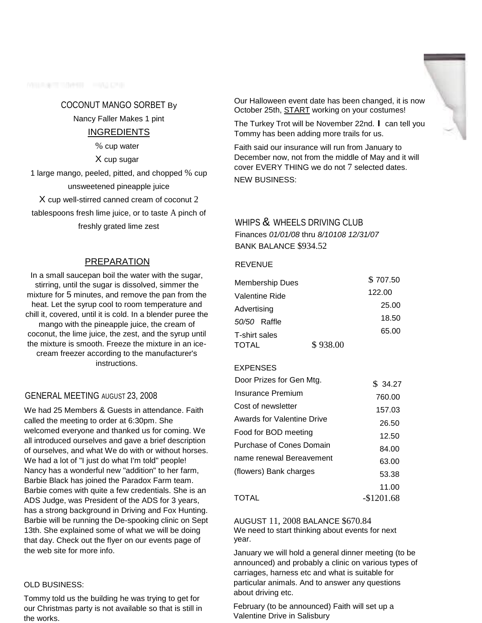**MILLS TENNIE HALCH** 

#### COCONUT MANGO SORBET By

Nancy Faller Makes 1 pint

## INGREDIENTS

% cup water

X cup sugar

1 large mango, peeled, pitted, and chopped % cup unsweetened pineapple juice

X cup well-stirred canned cream of coconut 2 tablespoons fresh lime juice, or to taste A pinch of freshly grated lime zest

## PREPARATION

In a small saucepan boil the water with the sugar, stirring, until the sugar is dissolved, simmer the mixture for 5 minutes, and remove the pan from the heat. Let the syrup cool to room temperature and chill it, covered, until it is cold. In a blender puree the mango with the pineapple juice, the cream of coconut, the lime juice, the zest, and the syrup until the mixture is smooth. Freeze the mixture in an icecream freezer according to the manufacturer's instructions.

## GENERAL MEETING AUGUST 23, 2008

We had 25 Members & Guests in attendance. Faith called the meeting to order at 6:30pm. She welcomed everyone and thanked us for coming. We all introduced ourselves and gave a brief description of ourselves, and what We do with or without horses. We had a lot of "I just do what I'm told" people! Nancy has a wonderful new "addition" to her farm, Barbie Black has joined the Paradox Farm team. Barbie comes with quite a few credentials. She is an ADS Judge, was President of the ADS for 3 years, has a strong background in Driving and Fox Hunting. Barbie will be running the De-spooking clinic on Sept 13th. She explained some of what we will be doing that day. Check out the flyer on our events page of the web site for more info.

#### OLD BUSINESS:

Tommy told us the building he was trying to get for our Christmas party is not available so that is still in the works.

Our Halloween event date has been changed, it is now October 25th, START working on your costumes!

The Turkey Trot will be November 22nd. I can tell you Tommy has been adding more trails for us.

Faith said our insurance will run from January to December now, not from the middle of May and it will cover EVERY THING we do not 7 selected dates. NEW BUSINESS:

## WHIPS & WHEELS DRIVING CLUB

Finances *01/01/08* thru *8/10108 12/31/07*  BANK BALANCE \$934.52

#### **REVENUE**

| <b>Membership Dues</b> |          | \$707.50 |
|------------------------|----------|----------|
| Valentine Ride         |          | 122.00   |
| Advertising            |          | 25.00    |
| 50/50 Raffle           |          | 18.50    |
| T-shirt sales          |          | 65.00    |
| TOTAL                  | \$938.00 |          |

#### EXPENSES

| Door Prizes for Gen Mtg.   | \$34.27    |
|----------------------------|------------|
| Insurance Premium          | 760.00     |
| Cost of newsletter         | 157.03     |
| Awards for Valentine Drive | 26.50      |
| Food for BOD meeting       | 12.50      |
| Purchase of Cones Domain   | 84.00      |
| name renewal Bereavement   | 63.00      |
| (flowers) Bank charges     | 53.38      |
|                            | 11.00      |
| TOTAL                      | -\$1201.68 |

AUGUST 11, 2008 BALANCE \$670.84 We need to start thinking about events for next year.

January we will hold a general dinner meeting (to be announced) and probably a clinic on various types of carriages, harness etc and what is suitable for particular animals. And to answer any questions about driving etc.

February (to be announced) Faith will set up a Valentine Drive in Salisbury

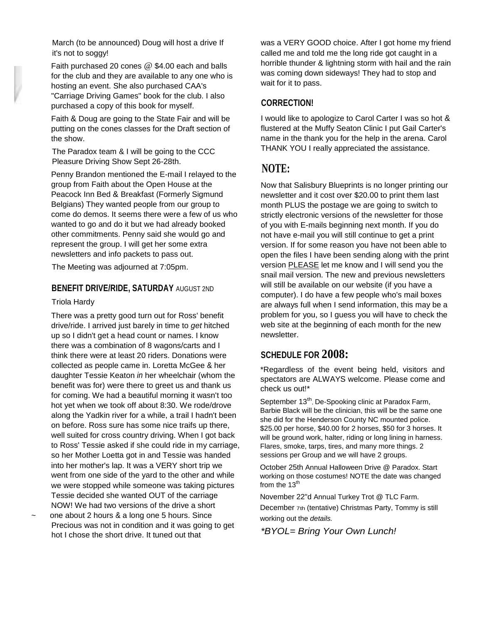March (to be announced) Doug will host a drive If it's not to soggy!

Faith purchased 20 cones @ \$4.00 each and balls for the club and they are available to any one who is hosting an event. She also purchased CAA's "Carriage Driving Games" book for the club. I also purchased a copy of this book for myself.

Faith & Doug are going to the State Fair and will be putting on the cones classes for the Draft section of the show.

The Paradox team & I will be going to the CCC Pleasure Driving Show Sept 26-28th.

Penny Brandon mentioned the E-mail I relayed to the group from Faith about the Open House at the Peacock Inn Bed & Breakfast (Formerly Sigmund Belgians) They wanted people from our group to come do demos. It seems there were a few of us who wanted to go and do it but we had already booked other commitments. Penny said she would go and represent the group. I will get her some extra newsletters and info packets to pass out.

The Meeting was adjourned at 7:05pm.

#### **BENEFIT DRIVE/RIDE, SATURDAY** AUGUST 2ND

#### Triola Hardy

There was a pretty good turn out for Ross' benefit drive/ride. I arrived just barely in time to *get* hitched up so I didn't get a head count or names. I know there was a combination of 8 wagons/carts and I think there were at least 20 riders. Donations were collected as people came in. Loretta McGee & her daughter Tessie Keaton *in* her wheelchair (whom the benefit was for) were there to greet us and thank us for coming. We had a beautiful morning it wasn't too hot yet when we took off about 8:30. We rode/drove along the Yadkin river for a while, a trail I hadn't been on before. Ross sure has some nice traifs up there, well suited for cross country driving. When I got back to Ross' Tessie asked if she could ride in my carriage, so her Mother Loetta got in and Tessie was handed into her mother's lap. It was a VERY short trip we went from one side of the yard to the other and while we were stopped while someone was taking pictures Tessie decided she wanted OUT of the carriage NOW! We had two versions of the drive a short

one about 2 hours & a long one 5 hours. Since Precious was not in condition and it was going to get hot I chose the short drive. It tuned out that

was a VERY GOOD choice. After I got home my friend called me and told me the long ride got caught in a horrible thunder & lightning storm with hail and the rain was coming down sideways! They had to stop and wait for it to pass.

## **CORRECTION!**

I would like to apologize to Carol Carter I was so hot & flustered at the Muffy Seaton Clinic I put Gail Carter's name in the thank you for the help in the arena. Carol THANK YOU I really appreciated the assistance.

# **NOTE:**

Now that Salisbury Blueprints is no longer printing our newsletter and it cost over \$20.00 to print them last month PLUS the postage we are going to switch to strictly electronic versions of the newsletter for those of you with E-mails beginning next month. If you do not have e-mail you will still continue to get a print version. If for some reason you have not been able to open the files I have been sending along with the print version PLEASE let me know and I will send you the snail mail version. The new and previous newsletters will still be available on our website (if you have a computer). I do have a few people who's mail boxes are always full when I send information, this may be a problem for you, so I guess you will have to check the web site at the beginning of each month for the new newsletter.

# **SCHEDULE FOR 2008:**

\*Regardless of the event being held, visitors and spectators are ALWAYS welcome. Please come and check us out!\*

September 13<sup>th</sup>, De-Spooking clinic at Paradox Farm, Barbie Black will be the clinician, this will be the same one she did for the Henderson County NC mounted police. \$25.00 per horse, \$40.00 for 2 horses, \$50 for 3 horses. It will be ground work, halter, riding or long lining in harness. Flares, smoke, tarps, tires, and many more things. 2 sessions per Group and we will have 2 groups.

October 25th Annual Halloween Drive @ Paradox. Start working on those costumes! NOTE the date was changed from the  $13<sup>th</sup>$ 

November 22"d Annual Turkey Trot @ TLC Farm. December 7th (tentative) Christmas Party, Tommy is still

working out the *details.*

*\*BYOL= Bring Your Own Lunch!*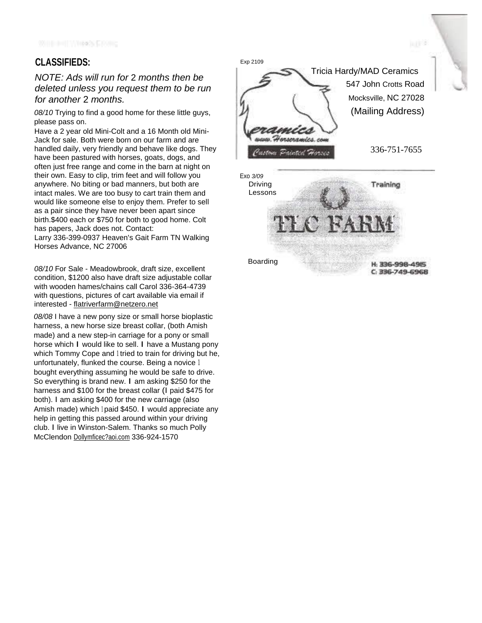# **CLASSIFIEDS:**

# *NOTE: Ads will run for* 2 *months then be deleted unless you request them to be run for another* 2 *months.*

*08/10* Trying to find a good home for these little guys, please pass on.

Have a 2 year old Mini-Colt and a 16 Month old Mini-Jack for sale. Both were born on our farm and are handled daily, very friendly and behave like dogs. They have been pastured with horses, goats, dogs, and often just free range and come in the barn at night on their own. Easy to clip, trim feet and will follow you anywhere. No biting or bad manners, but both are intact males. We are too busy to cart train them and would like someone else to enjoy them. Prefer to sell as a pair since they have never been apart since birth.\$400 each or \$750 for both to good home. Colt has papers, Jack does not. Contact: Larry 336-399-0937 Heaven's Gait Farm TN Walking

Horses Advance, NC 27006

*08/10* For Sale - Meadowbrook, draft size, excellent condition, \$1200 also have draft size adjustable collar with wooden hames/chains call Carol 336-364-4739 with questions, pictures of cart available via email if interested - [flatriverfarm@netzero.net](mailto:flatriverfarm@netzero.net)

*08/08* I have a new pony size or small horse bioplastic harness, a new horse size breast collar, (both Amish made) and a new step-in carriage for a pony or small horse which I would like to sell. I have a Mustang pony which Tommy Cope and 1 tried to train for driving but he, unfortunately, flunked the course. Being a novice <sup>1</sup> bought everything assuming he would be safe to drive. So everything is brand new. I am asking \$250 for the harness and \$100 for the breast collar (I paid \$475 for both). I am asking \$400 for the new carriage (also Amish made) which 1 paid \$450. I would appreciate any help in getting this passed around within your driving club. I live in Winston-Salem. Thanks so much Polly McClendon Dollymficec?aoi.com 336-924-1570



liu <del>s 1</del>9